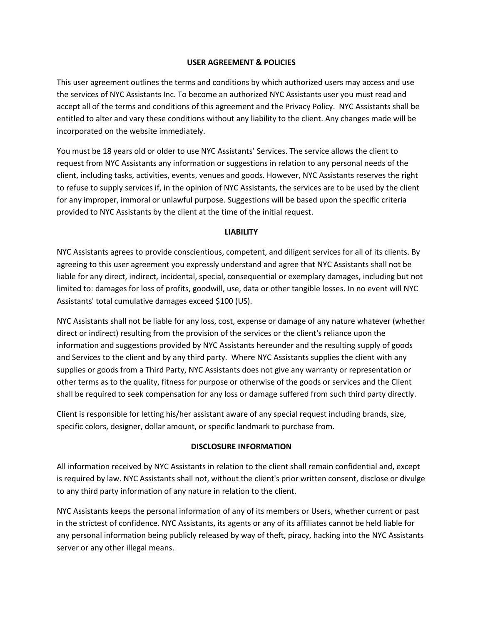### **USER AGREEMENT & POLICIES**

This user agreement outlines the terms and conditions by which authorized users may access and use the services of NYC Assistants Inc. To become an authorized NYC Assistants user you must read and accept all of the terms and conditions of this agreement and the Privacy Policy. NYC Assistants shall be entitled to alter and vary these conditions without any liability to the client. Any changes made will be incorporated on the website immediately.

You must be 18 years old or older to use NYC Assistants' Services. The service allows the client to request from NYC Assistants any information or suggestions in relation to any personal needs of the client, including tasks, activities, events, venues and goods. However, NYC Assistants reserves the right to refuse to supply services if, in the opinion of NYC Assistants, the services are to be used by the client for any improper, immoral or unlawful purpose. Suggestions will be based upon the specific criteria provided to NYC Assistants by the client at the time of the initial request.

### **LIABILITY**

NYC Assistants agrees to provide conscientious, competent, and diligent services for all of its clients. By agreeing to this user agreement you expressly understand and agree that NYC Assistants shall not be liable for any direct, indirect, incidental, special, consequential or exemplary damages, including but not limited to: damages for loss of profits, goodwill, use, data or other tangible losses. In no event will NYC Assistants' total cumulative damages exceed \$100 (US).

NYC Assistants shall not be liable for any loss, cost, expense or damage of any nature whatever (whether direct or indirect) resulting from the provision of the services or the client's reliance upon the information and suggestions provided by NYC Assistants hereunder and the resulting supply of goods and Services to the client and by any third party. Where NYC Assistants supplies the client with any supplies or goods from a Third Party, NYC Assistants does not give any warranty or representation or other terms as to the quality, fitness for purpose or otherwise of the goods or services and the Client shall be required to seek compensation for any loss or damage suffered from such third party directly.

Client is responsible for letting his/her assistant aware of any special request including brands, size, specific colors, designer, dollar amount, or specific landmark to purchase from.

### **DISCLOSURE INFORMATION**

All information received by NYC Assistants in relation to the client shall remain confidential and, except is required by law. NYC Assistants shall not, without the client's prior written consent, disclose or divulge to any third party information of any nature in relation to the client.

NYC Assistants keeps the personal information of any of its members or Users, whether current or past in the strictest of confidence. NYC Assistants, its agents or any of its affiliates cannot be held liable for any personal information being publicly released by way of theft, piracy, hacking into the NYC Assistants server or any other illegal means.